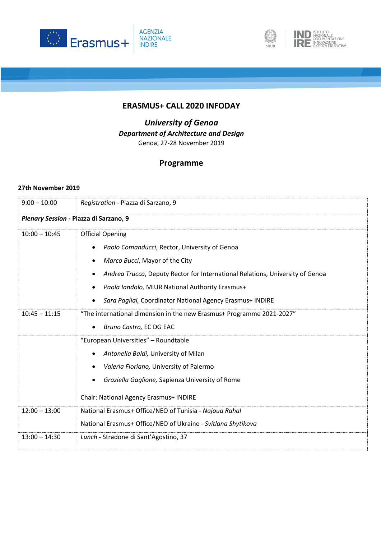





## **ERASMUS+ CALL 2020 INFODAY**

*University of Genoa Department of Architecture and Design* Genoa, 27-28 November 2019

## **Programme**

## **27th November 2019**

| $9:00 - 10:00$                         | Registration - Piazza di Sarzano, 9                                           |  |
|----------------------------------------|-------------------------------------------------------------------------------|--|
| Plenary Session - Piazza di Sarzano, 9 |                                                                               |  |
| $10:00 - 10:45$                        | <b>Official Opening</b>                                                       |  |
|                                        | Paolo Comanducci, Rector, University of Genoa                                 |  |
|                                        | Marco Bucci, Mayor of the City<br>٠                                           |  |
|                                        | Andrea Trucco, Deputy Rector for International Relations, University of Genoa |  |
|                                        | Paola landolo, MIUR National Authority Erasmus+                               |  |
|                                        | Sara Pagliai, Coordinator National Agency Erasmus+ INDIRE                     |  |
| $10:45 - 11:15$                        | "The international dimension in the new Erasmus+ Programme 2021-2027"         |  |
|                                        | Bruno Castro, EC DG EAC                                                       |  |
|                                        | "European Universities" - Roundtable                                          |  |
|                                        | Antonella Baldi, University of Milan                                          |  |
|                                        | Valeria Floriano, University of Palermo                                       |  |
|                                        | Graziella Gaglione, Sapienza University of Rome                               |  |
|                                        | Chair: National Agency Erasmus+ INDIRE                                        |  |
| $12:00 - 13:00$                        | National Erasmus+ Office/NEO of Tunisia - Najoua Rahal                        |  |
|                                        | National Erasmus+ Office/NEO of Ukraine - Svitlana Shytikova                  |  |
| $13:00 - 14:30$                        | Lunch - Stradone di Sant'Agostino, 37                                         |  |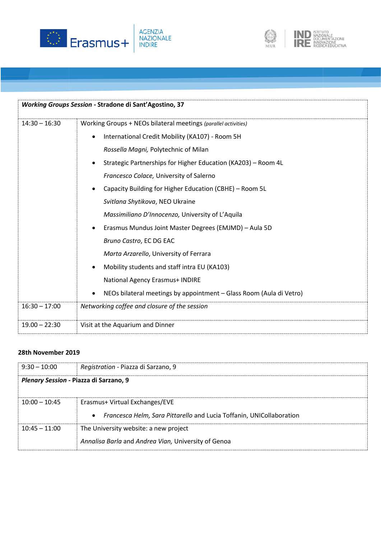



| Working Groups Session - Stradone di Sant'Agostino, 37 |                                                                                  |  |
|--------------------------------------------------------|----------------------------------------------------------------------------------|--|
| $14:30 - 16:30$                                        | Working Groups + NEOs bilateral meetings (parallel activities)                   |  |
|                                                        | International Credit Mobility (KA107) - Room 5H<br>$\bullet$                     |  |
|                                                        | Rossella Magni, Polytechnic of Milan                                             |  |
|                                                        | Strategic Partnerships for Higher Education (KA203) - Room 4L<br>$\bullet$       |  |
|                                                        | Francesco Colace, University of Salerno                                          |  |
|                                                        | Capacity Building for Higher Education (CBHE) - Room 5L<br>$\bullet$             |  |
|                                                        | Svitlana Shytikova, NEO Ukraine                                                  |  |
|                                                        | Massimiliano D'Innocenzo, University of L'Aquila                                 |  |
|                                                        | Erasmus Mundus Joint Master Degrees (EMJMD) - Aula 5D<br>$\bullet$               |  |
|                                                        | Bruno Castro, EC DG EAC                                                          |  |
|                                                        | Marta Arzarello, University of Ferrara                                           |  |
|                                                        | Mobility students and staff intra EU (KA103)<br>$\bullet$                        |  |
|                                                        | National Agency Erasmus+ INDIRE                                                  |  |
|                                                        | NEOs bilateral meetings by appointment - Glass Room (Aula di Vetro)<br>$\bullet$ |  |
| $16:30 - 17:00$                                        | Networking coffee and closure of the session                                     |  |
| $19.00 - 22:30$                                        | Visit at the Aquarium and Dinner                                                 |  |

## **28th November 2019**

| $9:30 - 10:00$                         | Registration - Piazza di Sarzano, 9                                                      |  |
|----------------------------------------|------------------------------------------------------------------------------------------|--|
| Plenary Session - Piazza di Sarzano, 9 |                                                                                          |  |
|                                        |                                                                                          |  |
| $10:00 - 10:45$                        | Erasmus+ Virtual Exchanges/EVE                                                           |  |
|                                        | <i>Francesca Helm, Sara Pittarello and Lucia Toffanin, UNICollaboration</i><br>$\bullet$ |  |
| $10:45 - 11:00$                        | The University website: a new project                                                    |  |
|                                        | Annalisa Barla and Andrea Vian, University of Genoa                                      |  |